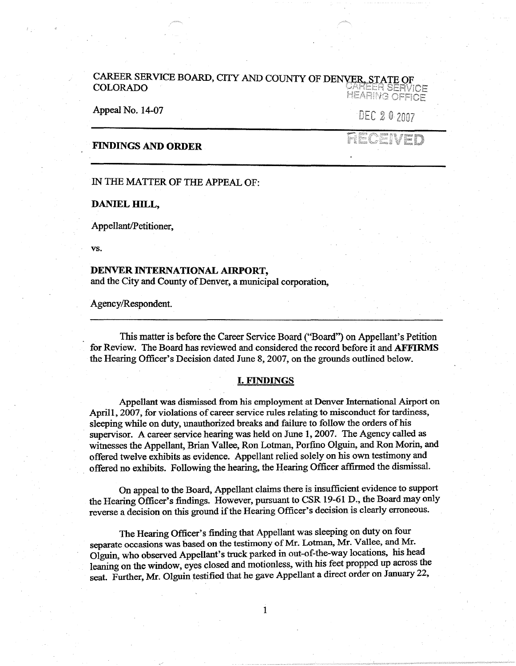# CAREER SERVICE BOARD, CITY AND COUNTY OF DENVER, STATE OF COLORADO COLORABING OFFICE

Appeal No. 14-07

DEC 20 2007

## **FINDINGS AND ORDER**

 $F^{\text{max}}$ 

### IN THE MATTER OF THE APPEAL OF:

**DANIEL HILL,** 

Appellant/Petitioner,

**vs.** 

#### **DENVER INTERNATIONAL AIRPORT,**

and the City and County of Denver, a municipal corporation,

Agency/Respondent.

This matter is before the Career Service Board ("Board") on Appellant's Petition for Review. The Board has reviewed and considered the record before it and **AFFIRMS**  the Hearing Officer's Decision dated June 8, 2007, on the grounds outlined below.

#### I. **FINDINGS**

Appellant was dismissed from his employment at Denver International Airport on April1, 2007, for violations of career service rules relating to misconduct for tardiness, sleeping while on duty, unauthorized breaks and failure to follow the orders of his supervisor. A career service hearing was held on June 1, 2007. The Agency called as witnesses the Appellant, Brian Vallee, Ron Lotman, Porfino Olguin, and Ron Morin, and offered twelve exhibits as evidence. Appellant relied solely on his own testimony and offered no exhibits. Following the hearing, the Hearing Officer affirmed the dismissal.

On appeal to the Board, Appellant claims there is insufficient evidence to support the Hearing Officer's findings. However, pursuant to CSR 19-61 D., the Board may only reverse a decision on this ground if the Hearing Officer's decision is clearly erroneous.

The Hearing Officer's finding that Appellant was sleeping on duty on four separate occasions was based on the testimony of Mr. Lotman, Mr. Vallee, and Mr. Olguin, who observed Appellant's truck parked in out-of-the-way locations, his head leaning on the window, eyes closed and motionless, with his feet propped up across the seat. Further, Mr. Olguin testified that he gave Appellant a direct order on January 22,

1